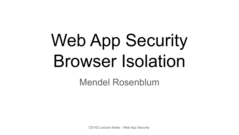# Web App Security Browser Isolation

Mendel Rosenblum

CS142 Lecture Notes - Web App Security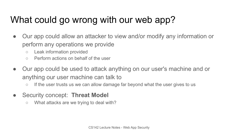# What could go wrong with our web app?

- Our app could allow an attacker to view and/or modify any information or perform any operations we provide
	- Leak information provided
	- Perform actions on behalf of the user
- Our app could be used to attack anything on our user's machine and or anything our user machine can talk to
	- If the user trusts us we can allow damage far beyond what the user gives to us
- Security concept: **Threat Model**
	- What attacks are we trying to deal with?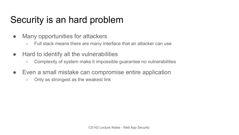## Security is an hard problem

- Many opportunities for attackers
	- Full stack means there are many interface that an attacker can use
- Hard to identify all the vulnerabilities
	- Complexity of system make it impossible guarantee no vulnerabilities
- Even a small mistake can compromise entire application
	- Only as strongest as the weakest link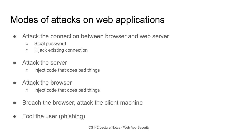## Modes of attacks on web applications

- Attack the connection between browser and web server
	- Steal password
	- Hijack existing connection
- Attack the server
	- Inject code that does bad things
- Attack the browser
	- Inject code that does bad things
- Breach the browser, attack the client machine
- Fool the user (phishing)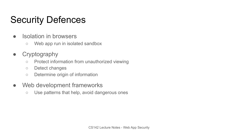# Security Defences

- Isolation in browsers
	- Web app run in isolated sandbox
- Cryptography
	- Protect information from unauthorized viewing
	- Detect changes
	- Determine origin of information
- Web development frameworks
	- Use patterns that help, avoid dangerous ones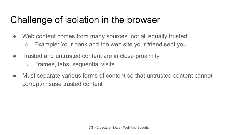#### Challenge of isolation in the browser

- Web content comes from many sources, not all equally trusted ○ Example: Your bank and the web site your friend sent you
- Trusted and untrusted content are in close proximity
	- Frames, tabs, sequential visits
- Must separate various forms of content so that untrusted content cannot corrupt/misuse trusted content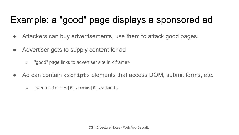## Example: a "good" page displays a sponsored ad

- Attackers can buy advertisements, use them to attack good pages.
- Advertiser gets to supply content for ad
	- "good" page links to advertiser site in <iframe>
- Ad can contain <script> elements that access DOM, submit forms, etc.
	- parent.frames[0].forms[0].submit;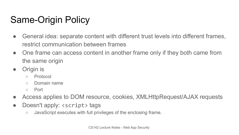# Same-Origin Policy

- General idea: separate content with different trust levels into different frames, restrict communication between frames
- One frame can access content in another frame only if they both came from the same origin
- Origin is
	- Protocol
	- Domain name
	- Port
- Access applies to DOM resource, cookies, XMLHttpRequest/AJAX requests
- Doesn't apply: <script> tags
	- JavaScript executes with full privileges of the enclosing frame.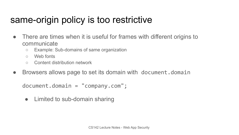#### same-origin policy is too restrictive

- There are times when it is useful for frames with different origins to communicate
	- Example: Sub-domains of same organization
	- Web fonts
	- Content distribution network
- Browsers allows page to set its domain with document.domain

```
document.domain = "company.com";
```
• Limited to sub-domain sharing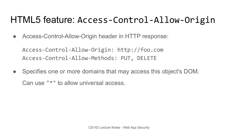#### HTML5 feature: Access-Control-Allow-Origin

● Access-Control-Allow-Origin header in HTTP response:

Access-Control-Allow-Origin: http://foo.com Access-Control-Allow-Methods: PUT, DELETE

• Specifies one or more domains that may access this object's DOM. Can use "\*" to allow universal access.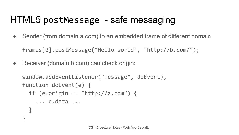# HTML5 postMessage - safe messaging

- Sender (from domain a.com) to an embedded frame of different domain frames[0].postMessage("Hello world", "http://b.com/");
- Receiver (domain b.com) can check origin:

```
window.addEventListener("message", doEvent);
function doEvent(e) {
 if (e.origin == "http://a.com") {
     ... e.data ... 
 }
}
```